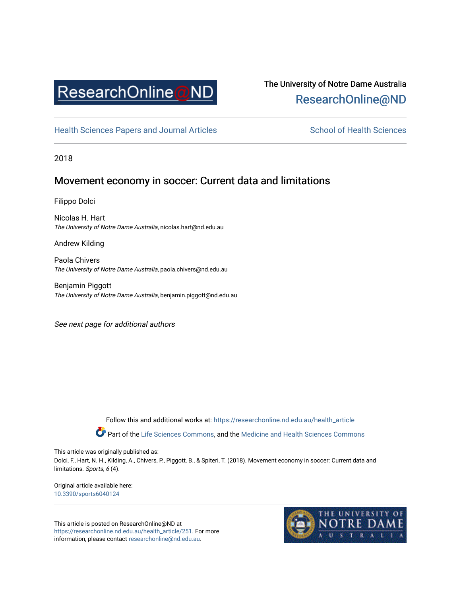

# The University of Notre Dame Australia [ResearchOnline@ND](https://researchonline.nd.edu.au/)

[Health Sciences Papers and Journal Articles](https://researchonline.nd.edu.au/health_article) School of Health Sciences

2018

## Movement economy in soccer: Current data and limitations

Filippo Dolci

Nicolas H. Hart The University of Notre Dame Australia, nicolas.hart@nd.edu.au

Andrew Kilding

Paola Chivers The University of Notre Dame Australia, paola.chivers@nd.edu.au

Benjamin Piggott The University of Notre Dame Australia, benjamin.piggott@nd.edu.au

See next page for additional authors

Follow this and additional works at: [https://researchonline.nd.edu.au/health\\_article](https://researchonline.nd.edu.au/health_article?utm_source=researchonline.nd.edu.au%2Fhealth_article%2F251&utm_medium=PDF&utm_campaign=PDFCoverPages)

Part of the [Life Sciences Commons](http://network.bepress.com/hgg/discipline/1016?utm_source=researchonline.nd.edu.au%2Fhealth_article%2F251&utm_medium=PDF&utm_campaign=PDFCoverPages), and the Medicine and Health Sciences Commons

This article was originally published as:

Dolci, F., Hart, N. H., Kilding, A., Chivers, P., Piggott, B., & Spiteri, T. (2018). Movement economy in soccer: Current data and limitations. Sports, 6 (4).

Original article available here: [10.3390/sports6040124](https://doi.org/10.3390/sports6040124) 

This article is posted on ResearchOnline@ND at [https://researchonline.nd.edu.au/health\\_article/251](https://researchonline.nd.edu.au/health_article/251). For more information, please contact [researchonline@nd.edu.au.](mailto:researchonline@nd.edu.au)

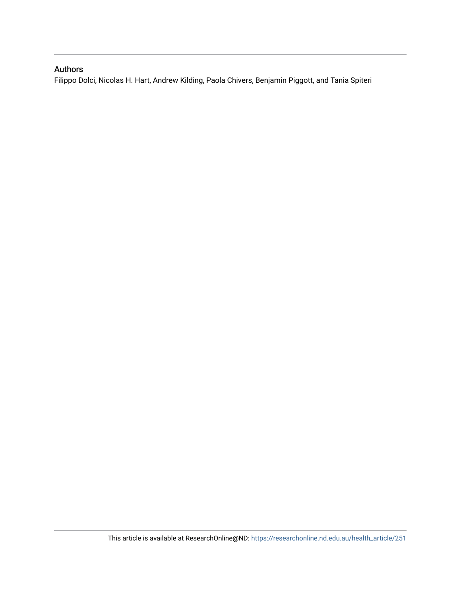### Authors

Filippo Dolci, Nicolas H. Hart, Andrew Kilding, Paola Chivers, Benjamin Piggott, and Tania Spiteri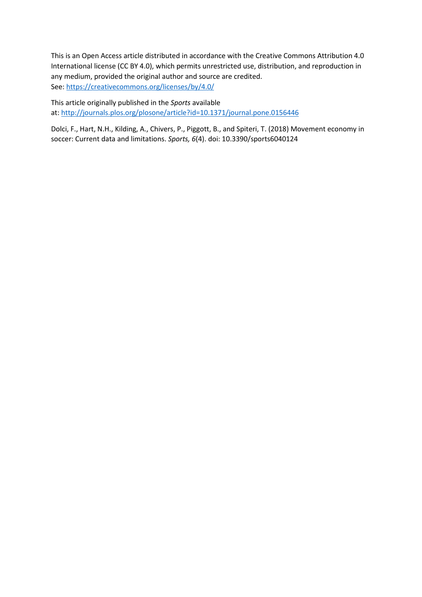This is an Open Access article distributed in accordance with the Creative Commons Attribution 4.0 International license (CC BY 4.0), which permits unrestricted use, distribution, and reproduction in any medium, provided the original author and source are credited. See[: https://creativecommons.org/licenses/by/4.0/](https://creativecommons.org/licenses/by/4.0/) 

This article originally published in the *Sports* available at:<http://journals.plos.org/plosone/article?id=10.1371/journal.pone.0156446>

Dolci, F., Hart, N.H., Kilding, A., Chivers, P., Piggott, B., and Spiteri, T. (2018) Movement economy in soccer: Current data and limitations. *Sports, 6*(4). doi: 10.3390/sports6040124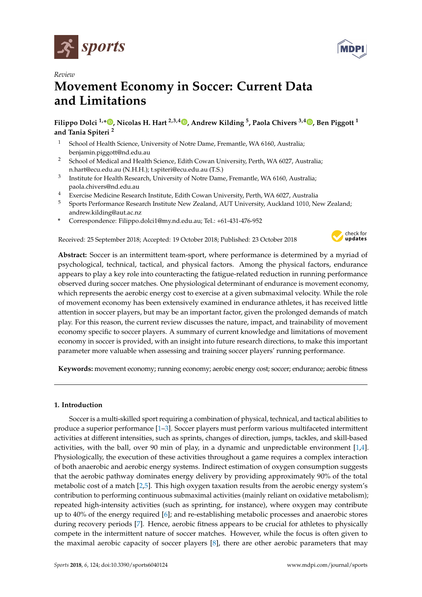



# *Review* **Movement Economy in Soccer: Current Data and Limitations**

**Filippo Dolci 1,\* [,](https://orcid.org/0000-0001-9697-1263) Nicolas H. Hart 2,3,4 [,](https://orcid.org/0000-0003-2794-0193) Andrew Kilding <sup>5</sup> , Paola Chivers 3,4 [,](https://orcid.org/0000-0003-2278-4857) Ben Piggott <sup>1</sup> and Tania Spiteri <sup>2</sup>**

- <sup>1</sup> School of Health Science, University of Notre Dame, Fremantle, WA 6160, Australia; benjamin.piggott@nd.edu.au
- <sup>2</sup> School of Medical and Health Science, Edith Cowan University, Perth, WA 6027, Australia; n.hart@ecu.edu.au (N.H.H.); t.spiteri@ecu.edu.au (T.S.)
- 3 Institute for Health Research, University of Notre Dame, Fremantle, WA 6160, Australia; paola.chivers@nd.edu.au
- <sup>4</sup> Exercise Medicine Research Institute, Edith Cowan University, Perth, WA 6027, Australia<br><sup>5</sup> Exerts Resformance Research Institute New Zealand, AUT University, Australian 1,1010, Na
- <sup>5</sup> Sports Performance Research Institute New Zealand, AUT University, Auckland 1010, New Zealand; andrew.kilding@aut.ac.nz
- **\*** Correspondence: Filippo.dolci1@my.nd.edu.au; Tel.: +61-431-476-952

Received: 25 September 2018; Accepted: 19 October 2018; Published: 23 October 2018



**Abstract:** Soccer is an intermittent team-sport, where performance is determined by a myriad of psychological, technical, tactical, and physical factors. Among the physical factors, endurance appears to play a key role into counteracting the fatigue-related reduction in running performance observed during soccer matches. One physiological determinant of endurance is movement economy, which represents the aerobic energy cost to exercise at a given submaximal velocity. While the role of movement economy has been extensively examined in endurance athletes, it has received little attention in soccer players, but may be an important factor, given the prolonged demands of match play. For this reason, the current review discusses the nature, impact, and trainability of movement economy specific to soccer players. A summary of current knowledge and limitations of movement economy in soccer is provided, with an insight into future research directions, to make this important parameter more valuable when assessing and training soccer players' running performance.

**Keywords:** movement economy; running economy; aerobic energy cost; soccer; endurance; aerobic fitness

#### **1. Introduction**

Soccer is a multi-skilled sport requiring a combination of physical, technical, and tactical abilities to produce a superior performance [\[1–](#page-13-0)[3\]](#page-13-1). Soccer players must perform various multifaceted intermittent activities at different intensities, such as sprints, changes of direction, jumps, tackles, and skill-based activities, with the ball, over 90 min of play, in a dynamic and unpredictable environment [\[1,](#page-13-0)[4\]](#page-13-2). Physiologically, the execution of these activities throughout a game requires a complex interaction of both anaerobic and aerobic energy systems. Indirect estimation of oxygen consumption suggests that the aerobic pathway dominates energy delivery by providing approximately 90% of the total metabolic cost of a match [\[2](#page-13-3)[,5\]](#page-13-4). This high oxygen taxation results from the aerobic energy system's contribution to performing continuous submaximal activities (mainly reliant on oxidative metabolism); repeated high-intensity activities (such as sprinting, for instance), where oxygen may contribute up to 40% of the energy required [\[6\]](#page-13-5); and re-establishing metabolic processes and anaerobic stores during recovery periods [\[7\]](#page-13-6). Hence, aerobic fitness appears to be crucial for athletes to physically compete in the intermittent nature of soccer matches. However, while the focus is often given to the maximal aerobic capacity of soccer players [\[8\]](#page-13-7), there are other aerobic parameters that may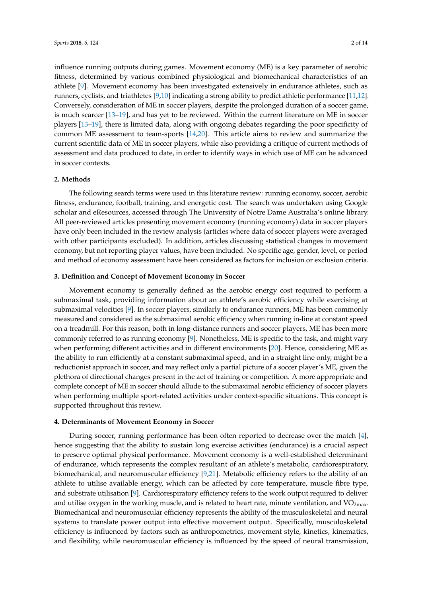influence running outputs during games. Movement economy (ME) is a key parameter of aerobic fitness, determined by various combined physiological and biomechanical characteristics of an athlete [\[9\]](#page-13-8). Movement economy has been investigated extensively in endurance athletes, such as runners, cyclists, and triathletes [\[9,](#page-13-8)[10\]](#page-13-9) indicating a strong ability to predict athletic performance [\[11](#page-14-0)[,12\]](#page-14-1). Conversely, consideration of ME in soccer players, despite the prolonged duration of a soccer game, is much scarcer [\[13–](#page-14-2)[19\]](#page-14-3), and has yet to be reviewed. Within the current literature on ME in soccer players [\[13](#page-14-2)[–19\]](#page-14-3), there is limited data, along with ongoing debates regarding the poor specificity of common ME assessment to team-sports [\[14,](#page-14-4)[20\]](#page-14-5). This article aims to review and summarize the current scientific data of ME in soccer players, while also providing a critique of current methods of assessment and data produced to date, in order to identify ways in which use of ME can be advanced in soccer contexts.

#### **2. Methods**

The following search terms were used in this literature review: running economy, soccer, aerobic fitness, endurance, football, training, and energetic cost. The search was undertaken using Google scholar and eResources, accessed through The University of Notre Dame Australia's online library. All peer-reviewed articles presenting movement economy (running economy) data in soccer players have only been included in the review analysis (articles where data of soccer players were averaged with other participants excluded). In addition, articles discussing statistical changes in movement economy, but not reporting player values, have been included. No specific age, gender, level, or period and method of economy assessment have been considered as factors for inclusion or exclusion criteria.

#### **3. Definition and Concept of Movement Economy in Soccer**

Movement economy is generally defined as the aerobic energy cost required to perform a submaximal task, providing information about an athlete's aerobic efficiency while exercising at submaximal velocities [\[9\]](#page-13-8). In soccer players, similarly to endurance runners, ME has been commonly measured and considered as the submaximal aerobic efficiency when running in-line at constant speed on a treadmill. For this reason, both in long-distance runners and soccer players, ME has been more commonly referred to as running economy [\[9\]](#page-13-8). Nonetheless, ME is specific to the task, and might vary when performing different activities and in different environments [\[20\]](#page-14-5). Hence, considering ME as the ability to run efficiently at a constant submaximal speed, and in a straight line only, might be a reductionist approach in soccer, and may reflect only a partial picture of a soccer player's ME, given the plethora of directional changes present in the act of training or competition. A more appropriate and complete concept of ME in soccer should allude to the submaximal aerobic efficiency of soccer players when performing multiple sport-related activities under context-specific situations. This concept is supported throughout this review.

#### **4. Determinants of Movement Economy in Soccer**

During soccer, running performance has been often reported to decrease over the match [\[4\]](#page-13-2), hence suggesting that the ability to sustain long exercise activities (endurance) is a crucial aspect to preserve optimal physical performance. Movement economy is a well-established determinant of endurance, which represents the complex resultant of an athlete's metabolic, cardiorespiratory, biomechanical, and neuromuscular efficiency [\[9,](#page-13-8)[21\]](#page-14-6). Metabolic efficiency refers to the ability of an athlete to utilise available energy, which can be affected by core temperature, muscle fibre type, and substrate utilisation [\[9\]](#page-13-8). Cardiorespiratory efficiency refers to the work output required to deliver and utilise oxygen in the working muscle, and is related to heart rate, minute ventilation, and  $VO<sub>2max</sub>$ . Biomechanical and neuromuscular efficiency represents the ability of the musculoskeletal and neural systems to translate power output into effective movement output. Specifically, musculoskeletal efficiency is influenced by factors such as anthropometrics, movement style, kinetics, kinematics, and flexibility, while neuromuscular efficiency is influenced by the speed of neural transmission,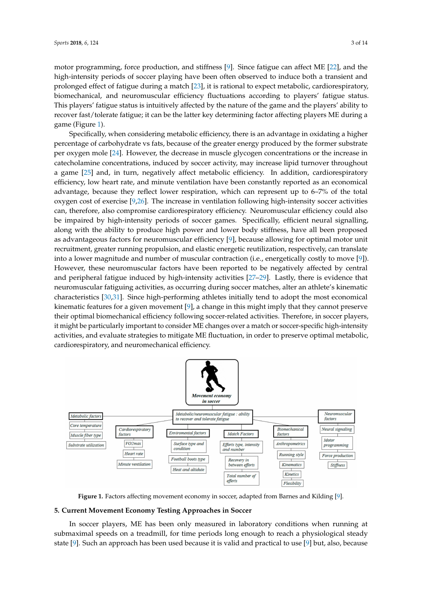motor programming, force production, and stiffness [\[9\]](#page-13-8). Since fatigue can affect ME [\[22\]](#page-14-7), and the high-intensity periods of soccer playing have been often observed to induce both a transient and prolonged effect of fatigue during a match [\[23\]](#page-14-8), it is rational to expect metabolic, cardiorespiratory, biomechanical, and neuromuscular efficiency fluctuations according to players' fatigue status. This players' fatigue status is intuitively affected by the nature of the game and the players' ability to recover fast/tolerate fatigue; it can be the latter key determining factor affecting players ME during a game (Figure [1\)](#page-5-0).

Specifically, when considering metabolic efficiency, there is an advantage in oxidating a higher percentage of carbohydrate vs fats, because of the greater energy produced by the former substrate per oxygen mole [\[24\]](#page-14-9). However, the decrease in muscle glycogen concentrations or the increase in catecholamine concentrations, induced by soccer activity, may increase lipid turnover throughout a game [\[25\]](#page-14-10) and, in turn, negatively affect metabolic efficiency. In addition, cardiorespiratory efficiency, low heart rate, and minute ventilation have been constantly reported as an economical advantage, because they reflect lower respiration, which can represent up to 6–7% of the total oxygen cost of exercise [\[9](#page-13-8)[,26\]](#page-14-11). The increase in ventilation following high-intensity soccer activities can, therefore, also compromise cardiorespiratory efficiency. Neuromuscular efficiency could also be impaired by high-intensity periods of soccer games. Specifically, efficient neural signalling, along with the ability to produce high power and lower body stiffness, have all been proposed as advantageous factors for neuromuscular efficiency [\[9\]](#page-13-8), because allowing for optimal motor unit recruitment, greater running propulsion, and elastic energetic reutilization, respectively, can translate into a lower magnitude and number of muscular contraction (i.e., energetically costly to move [\[9\]](#page-13-8)). However, these neuromuscular factors have been reported to be negatively affected by central and peripheral fatigue induced by high-intensity activities [\[27–](#page-14-12)[29\]](#page-14-13). Lastly, there is evidence that neuromuscular fatiguing activities, as occurring during soccer matches, alter an athlete's kinematic characteristics [\[30,](#page-14-14)[31\]](#page-14-15). Since high-performing athletes initially tend to adopt the most economical kinematic features for a given movement  $[9]$ , a change in this might imply that they cannot preserve their optimal biomechanical efficiency following soccer-related activities. Therefore, in soccer players, it might be particularly important to consider ME changes over a match or soccer-specific high-intensity activities, and evaluate strategies to mitigate ME fluctuation, in order to preserve optimal metabolic, cardiorespiratory, and neuromechanical efficiency.

<span id="page-5-0"></span>

**Figure 1.** Factors affecting movement economy in soccer, adapted from Barnes and Kilding [\[9\]](#page-13-8).

#### **5. Current Movement Economy Testing Approaches in Soccer**

In soccer players, ME has been only measured in laboratory conditions when running at submaximal speeds on a treadmill, for time periods long enough to reach a physiological steady state [\[9\]](#page-13-8). Such an approach has been used because it is valid and practical to use [\[9\]](#page-13-8) but, also, because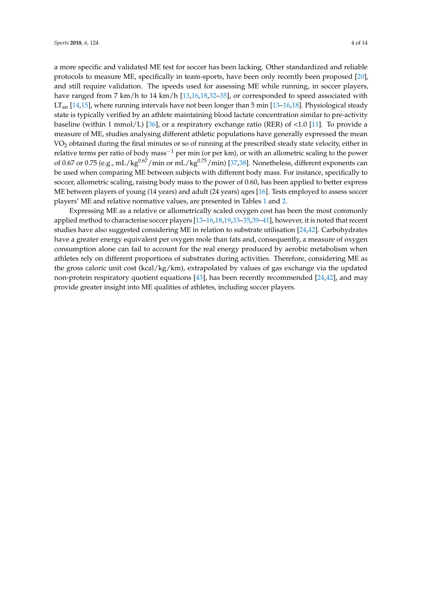a more specific and validated ME test for soccer has been lacking. Other standardized and reliable protocols to measure ME, specifically in team-sports, have been only recently been proposed [\[20\]](#page-14-5), and still require validation. The speeds used for assessing ME while running, in soccer players, have ranged from 7 km/h to 14 km/h [\[13,](#page-14-2)[16,](#page-14-16)[18,](#page-14-17)[32](#page-14-18)-35], or corresponded to speed associated with  $LT<sub>an</sub>$  [\[14,](#page-14-4)[15\]](#page-14-19), where running intervals have not been longer than 5 min [\[13](#page-14-2)[–16](#page-14-16)[,18\]](#page-14-17). Physiological steady state is typically verified by an athlete maintaining blood lactate concentration similar to pre-activity baseline (within 1 mmol/L) [\[36\]](#page-15-1), or a respiratory exchange ratio (RER) of  $\lt 1.0$  [\[11\]](#page-14-0). To provide a measure of ME, studies analysing different athletic populations have generally expressed the mean VO<sup>2</sup> obtained during the final minutes or so of running at the prescribed steady state velocity, either in relative terms per ratio of body mass<sup>-1</sup> per min (or per km), or with an allometric scaling to the power of 0.67 or 0.75 (e.g., mL/kg<sup>0.67</sup>/min or mL/kg<sup>0.75</sup>/min) [\[37,](#page-15-2)[38\]](#page-15-3). Nonetheless, different exponents can

be used when comparing ME between subjects with different body mass. For instance, specifically to soccer, allometric scaling, raising body mass to the power of 0.60, has been applied to better express ME between players of young (14 years) and adult (24 years) ages [\[16\]](#page-14-16). Tests employed to assess soccer players' ME and relative normative values, are presented in Tables [1](#page-7-0) and [2.](#page-9-0)

Expressing ME as a relative or allometrically scaled oxygen cost has been the most commonly applied method to characterise soccer players [\[13](#page-14-2)[–16,](#page-14-16)[18](#page-14-17)[,19](#page-14-3)[,33](#page-14-20)[–35,](#page-15-0)[39–](#page-15-4)[41\]](#page-15-5), however, it is noted that recent studies have also suggested considering ME in relation to substrate utilisation [\[24](#page-14-9)[,42\]](#page-15-6). Carbohydrates have a greater energy equivalent per oxygen mole than fats and, consequently, a measure of oxygen consumption alone can fail to account for the real energy produced by aerobic metabolism when athletes rely on different proportions of substrates during activities. Therefore, considering ME as the gross caloric unit cost (kcal/kg/km), extrapolated by values of gas exchange via the updated non-protein respiratory quotient equations  $[43]$ , has been recently recommended  $[24,42]$  $[24,42]$ , and may provide greater insight into ME qualities of athletes, including soccer players.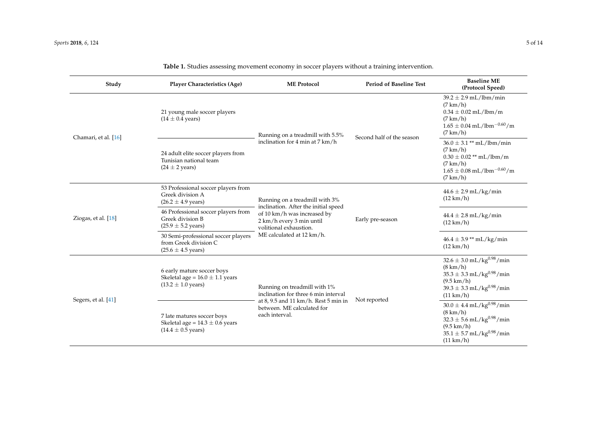<span id="page-7-0"></span>

| Study                 | <b>Player Characteristics (Age)</b>                                                                 | <b>ME</b> Protocol                                                                                                        | <b>Period of Baseline Test</b> |                                                                                                                                                                                                          |
|-----------------------|-----------------------------------------------------------------------------------------------------|---------------------------------------------------------------------------------------------------------------------------|--------------------------------|----------------------------------------------------------------------------------------------------------------------------------------------------------------------------------------------------------|
| Chamari, et al. [16]  | 21 young male soccer players<br>$(14 \pm 0.4 \text{ years})$                                        | Running on a treadmill with 5.5%                                                                                          | Second half of the season      | $39.2 \pm 2.9$ mL/lbm/min<br>$(7 \text{ km/h})$<br>$0.34 \pm 0.02$ mL/lbm/m<br>$(7 \text{ km/h})$<br>$1.65 \pm 0.04$ mL/lbm <sup>-0.60</sup> /m<br>$(7 \text{ km/h})$                                    |
|                       | 24 adult elite soccer players from<br>Tunisian national team<br>$(24 \pm 2 \text{ years})$          | inclination for 4 min at 7 km/h                                                                                           |                                | $36.0 \pm 3.1$ ** mL/lbm/min<br>$(7 \text{ km/h})$<br>$0.30 \pm 0.02$ ** mL/lbm/m<br>$(7 \text{ km/h})$<br>$1.65 \pm 0.08$ mL/lbm <sup>-0.60</sup> /m<br>$(7 \text{ km/h})$                              |
| Ziogas, et al. $[18]$ | 53 Professional soccer players from<br>Greek division A<br>$(26.2 \pm 4.9 \text{ years})$           | Running on a treadmill with 3%                                                                                            | Early pre-season               | $44.6 \pm 2.9$ mL/kg/min<br>$(12 \text{ km/h})$                                                                                                                                                          |
|                       | 46 Professional soccer players from<br>Greek division B<br>$(25.9 \pm 5.2 \text{ years})$           | inclination. After the initial speed<br>of 10 km/h was increased by<br>2 km/h every 3 min until<br>volitional exhaustion. |                                | $44.4 \pm 2.8$ mL/kg/min<br>$(12 \text{ km/h})$                                                                                                                                                          |
|                       | 30 Semi-professional soccer players<br>from Greek division C<br>$(25.6 \pm 4.5 \text{ years})$      | ME calculated at 12 km/h.                                                                                                 |                                | $46.4 \pm 3.9$ ** mL/kg/min<br>$(12 \text{ km/h})$                                                                                                                                                       |
| Segers, et al. [41]   | 6 early mature soccer boys<br>Skeletal age = $16.0 \pm 1.1$ years<br>$(13.2 \pm 1.0 \text{ years})$ | Running on treadmill with 1%<br>inclination for three 6 min interval                                                      | Not reported                   | $32.6 \pm 3.0$ mL/kg <sup>0.98</sup> /min<br>$(8 \text{ km/h})$<br>$35.3\pm3.3$ mL/kg $^{0.98}/\mathrm{min}$<br>$(9.5 \text{ km/h})$<br>$39.3 \pm 3.3$ mL/kg <sup>0.98</sup> /min<br>$(11 \text{ km/h})$ |
|                       | 7 late matures soccer boys<br>Skeletal age = $14.3 \pm 0.6$ years<br>$(14.4 \pm 0.5 \text{ years})$ | at 8, 9.5 and 11 km/h. Rest 5 min in<br>between. ME calculated for<br>each interval.                                      |                                | $30.0 \pm 4.4$ mL/kg <sup>0.98</sup> /min<br>$(8 \text{ km/h})$<br>$32.3 \pm 5.6$ mL/kg <sup>0.98</sup> /min<br>$(9.5 \text{ km/h})$<br>$35.1 \pm 5.7$ mL/kg <sup>0.98</sup> /min<br>$(11 \text{ km/h})$ |

#### **Table 1.** Studies assessing movement economy in soccer players without a training intervention.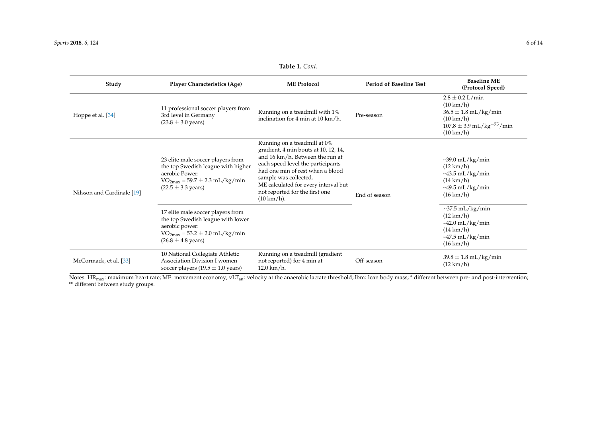| Study                      | <b>Player Characteristics (Age)</b>                                                                                                                                 | <b>ME Protocol</b>                                                                                                                                                                                                                                                                                          | <b>Period of Baseline Test</b> | <b>Baseline ME</b><br>(Protocol Speed)                                                                                                                            |  |
|----------------------------|---------------------------------------------------------------------------------------------------------------------------------------------------------------------|-------------------------------------------------------------------------------------------------------------------------------------------------------------------------------------------------------------------------------------------------------------------------------------------------------------|--------------------------------|-------------------------------------------------------------------------------------------------------------------------------------------------------------------|--|
| Hoppe et al. [34]          | 11 professional soccer players from<br>3rd level in Germany<br>$(23.8 \pm 3.0 \text{ years})$                                                                       | Running on a treadmill with 1%<br>inclination for 4 min at 10 km/h.                                                                                                                                                                                                                                         | Pre-season                     | $2.8 \pm 0.2$ L/min<br>$(10 \text{ km/h})$<br>$36.5 \pm 1.8$ mL/kg/min<br>$(10 \text{ km/h})$<br>$107.8 \pm 3.9$ mL/kg <sup>-75</sup> /min<br>$(10 \text{ km/h})$ |  |
| Nilsson and Cardinale [19] | 23 elite male soccer players from<br>the top Swedish league with higher<br>aerobic Power:<br>$VO_{2max} = 59.7 \pm 2.3$ mL/kg/min<br>$(22.5 \pm 3.3 \text{ years})$ | Running on a treadmill at 0%<br>gradient, 4 min bouts at 10, 12, 14,<br>and 16 km/h. Between the run at<br>each speed level the participants<br>had one min of rest when a blood<br>sample was collected.<br>ME calculated for every interval but<br>not reported for the first one<br>$(10 \text{ km/h}).$ | End of season                  | $\sim$ 39.0 mL/kg/min<br>$(12 \text{ km/h})$<br>$\sim$ 43.5 mL/kg/min<br>$(14 \text{ km/h})$<br>$\sim$ 49.5 mL/kg/min<br>$(16 \text{ km/h})$                      |  |
|                            | 17 elite male soccer players from<br>the top Swedish league with lower<br>aerobic power:<br>$VO_{2max} = 53.2 \pm 2.0$ mL/kg/min<br>$(26.8 \pm 4.8 \text{ years})$  |                                                                                                                                                                                                                                                                                                             |                                | $\sim$ 37.5 mL/kg/min<br>$(12 \text{ km/h})$<br>$\sim$ 42.0 mL/kg/min<br>$(14 \text{ km/h})$<br>$~1.5$ mL/kg/min<br>$(16 \text{ km/h})$                           |  |
| McCormack, et al. [33]     | 10 National Collegiate Athletic<br>Association Division I women<br>soccer players $(19.5 \pm 1.0 \text{ years})$                                                    | Running on a treadmill (gradient<br>not reported) for 4 min at<br>$12.0 \text{ km/h}.$                                                                                                                                                                                                                      | Off-season                     | $39.8 \pm 1.8$ mL/kg/min<br>$(12 \text{ km/h})$                                                                                                                   |  |

**Table 1.** *Cont.*

Notes:  $\rm{HR_{max:}}$  maximum heart rate; ME: movement economy; vLT $_{\rm{an:}}$  velocity at the anaerobic lactate threshold; lbm: lean body mass; \* different between pre- and post-intervention; \*\* different between study groups.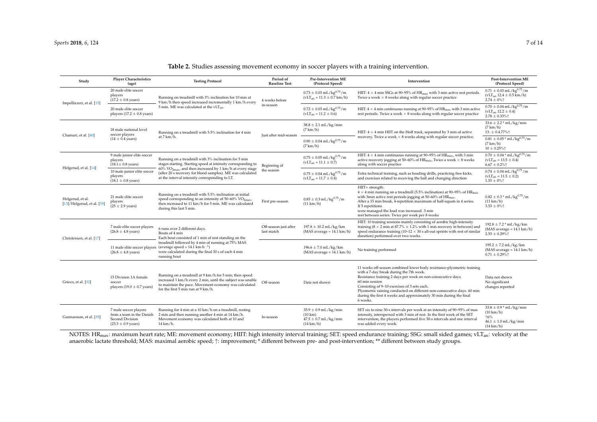| Study                                               | <b>Player Characteristics</b><br>(age)                                                                  | <b>Testing Protocol</b>                                                                                                                                                                                                          | Period of<br><b>Baseline Test</b>   | <b>Pre-Intervention ME</b><br>(Protocol Speed)                                                   | Intervention                                                                                                                                                                                                                                                                                                                                                                                                    | <b>Post-Intervention ME</b><br>(Protocol Speed)                                                                        |
|-----------------------------------------------------|---------------------------------------------------------------------------------------------------------|----------------------------------------------------------------------------------------------------------------------------------------------------------------------------------------------------------------------------------|-------------------------------------|--------------------------------------------------------------------------------------------------|-----------------------------------------------------------------------------------------------------------------------------------------------------------------------------------------------------------------------------------------------------------------------------------------------------------------------------------------------------------------------------------------------------------------|------------------------------------------------------------------------------------------------------------------------|
| Impellizzeri, et al. [15]                           | 20 male elite soccer<br>players<br>$(17.2 \pm 0.8 \text{ years})$                                       | Running on treadmill with 3% inclination for 10 min at<br>9 km/h then speed increased incrementally 1 km/h every                                                                                                                 | 4 weeks before<br>in-season         | $0.73 \pm 0.03$ mL/kg $^{0.75}$ /m<br>$(vLTan = 11.3 \pm 0.7 km/h)$                              | HIIT: $4 \times 4$ min SSGs at 90–95% of HR <sub>max</sub> with 3 min active rest periods.<br>Twice a week $\times$ 8 weeks along with regular soccer practice                                                                                                                                                                                                                                                  | $0.71 \pm 0.03$ mL/kg $^{0.75}$ /m<br>$(vLTan 12.4 \pm 0.5 km/h)$<br>$2.74 \pm 0\%$                                    |
|                                                     | 20 male elite soccer<br>players (17.2 $\pm$ 0.8 years)                                                  | 5 min. ME was calculated at the vLT <sub>an</sub> .                                                                                                                                                                              |                                     | $0.72 \pm 0.03$ mL/kg <sup>0.75</sup> /m<br>$(vLTan = 11.2 \pm 0.6)$                             | HIIT: $4 \times 4$ min continuous running at 90–95% of HR <sub>max</sub> with 3 min active<br>rest periods. Twice a week $\times$ 8 weeks along with regular soccer practice                                                                                                                                                                                                                                    | $0.70 \pm 0.04$ mL/kg <sup>0.75</sup> /m<br>$(vLTan 12.2 \pm 0.4)$<br>$2.78 \pm 0.33\%$ <sup>*</sup>                   |
| Chamari, et al. [40]                                | 18 male national level<br>soccer players<br>$(14 \pm 0.4 \text{ years})$                                | Running on a treadmill with 5.5% inclination for 4 min<br>at $7 \text{ km/h}$ .                                                                                                                                                  | Just after mid-season               | $38.8 \pm 2.1$ mL/kg/min<br>$(7 \text{ km/h})$                                                   | HIIT: $4 \times 4$ min HIIT on the Hoff track, separated by 3 min of active                                                                                                                                                                                                                                                                                                                                     | $33.6 \pm 2.2$ * mL/kg/min<br>$(7 \text{ km/h})$<br>13. $\pm$ 0.4.77% $\uparrow$                                       |
|                                                     |                                                                                                         |                                                                                                                                                                                                                                  |                                     | $0.90 \pm 0.04$ mL/kg <sup>0.75</sup> /m<br>$(7 \text{ km/h})$                                   | recovery. Twice a week $\times$ 8 weeks along with regular soccer practice.                                                                                                                                                                                                                                                                                                                                     | $0.81 \pm 0.05$ * mL/kg <sup>0.75</sup> /m<br>$(7 \text{ km/h})$<br>$10 \pm 0.25\%$                                    |
| Helgerud, et al. [14]                               | 9 male junior elite soccer<br>players<br>$(18.1 \pm 0.8 \text{ years})$                                 | Running on a treadmill with 3% inclination for 5 min<br>stages starting. Starting speed at intensity corresponding to                                                                                                            | Beginning of<br>the season          | $0.75 \pm 0.05$ mL/kg <sup>0.75</sup> /m<br>$(vLTan = 11.1 \pm 0.7)$                             | HIIT: $4 \times 4$ min continuous running at 90–95% of HR <sub>max</sub> , with 3 min<br>active recovery jogging at 50–60% of $HR_{max}$ , Twice a week $\times$ 8 weeks<br>along with soccer practice                                                                                                                                                                                                          | $0.70 \pm 0.04$ * mL/kg <sup>0.75</sup> /m<br>$(VLTan = 13.5 \pm 0.4)$<br>$6.67 \pm 0.2\%$                             |
|                                                     | 10 male junior elite soccer<br>players<br>$(18.1 \pm 0.8 \text{ years})$                                | $60\%$ VO <sub>2max</sub> , and then increased by 1 km/h at every stage<br>(after 20 s recovery for blood samples). ME was calculated<br>at the interval intensity corresponding to LT.                                          |                                     | $0.75 \pm 0.04$ mL/kg <sup>0.75</sup> /m<br>$(vLTan = 11.7 \pm 0.4)$                             | Extra technical training, such as heading drills, practicing free kicks,<br>and exercises related to receiving the ball and changing direction                                                                                                                                                                                                                                                                  | $0.74\pm0.04$ mL/kg $^{0.75}/\mathrm{m}$<br>$(vLTan = 11.5 \pm 0.2)$<br>$1.33 \pm 0\%$ <sup><math>\dagger</math></sup> |
| Helgerud, et al.<br>$[13]/$ Helgerud, et al. $[39]$ | 21 male elite soccer<br>players<br>$(25 \pm 2.9$ years)                                                 | Running on a treadmill with 5.5% inclination at initial<br>speed corresponding to an intensity of 50–60% $\rm VO_{2max}$ ,<br>then increased to 11 km/h for 5 min. ME was calculated<br>during this last 5 min.                  | First pre-season                    | $0.85 \pm 0.3$ mL/kg $^{0.75}$ /m<br>$(11 \text{ km/h})$                                         | HIIT+ strength:<br>$4 \times 4$ min running on a treadmill (5.5% inclination) at 90–95% of HR <sub>max</sub><br>with 3min active rest periods jogging at 50–60% of HR <sub>max</sub> .<br>After a 15 min break, 4-repetition maximum of half-squats in 4 series.<br>If 5 repetitions<br>were managed the load was increased. 3 min<br>rest between series. Twice per week per 8 weeks                           | $0.82 \pm 0.3$ * mL/kg <sup>0.75</sup> /m<br>$(11 \text{ km/h})$<br>$3.53 \pm 0\%$                                     |
| Christensen, et al. [17]                            | 7 male elite soccer players<br>$(26.8 \pm 4.8 \text{ years})$                                           | 6 runs over 2 different days.<br>Bouts of 4 min<br>Each bout consisted of 1 min of rest standing on the                                                                                                                          | Off-season just after<br>last match | $197.8 \pm 10.2$ mL/kg/km<br>$(MAS average = 14.1 km/h)$                                         | HIIT: 10 training sessions mainly consisting of aerobic high-intensity<br>training ( $8 \times 2$ min at 87.7% $\pm$ 1.2% with 1 min recovery in between) and<br>speed endurance training $(10-12 \times 30 s)$ all-out sprints with rest of similar<br>duration) performed over two weeks.                                                                                                                     | $192.8 \pm 7.2$ * mL/kg/km<br>$(MAS average = 14.1 km/h)$<br>$2.53 \pm 0.29\%$ <sup>*</sup>                            |
|                                                     | $(26.8 \pm 4.8 \text{ years})$                                                                          | treadmill followed by 4 min of running at 75% MAS<br>11 male elite soccer players (average speed = $14.1 \text{ km} \cdot \text{h}^{-1}$ )<br>were calculated during the final 30 s of each 4 min<br>running bout                |                                     | $196.6 \pm 7.0$ mL/kg/km<br>$(MAS average = 14.1 km/h)$                                          | No training performed                                                                                                                                                                                                                                                                                                                                                                                           | $195.2 \pm 7.2$ mL/kg/km<br>$(MAS average = 14.1 km/h)$<br>$0.71 \pm 0.29\%$ <sup>+</sup>                              |
| Grieco, et al. [32]                                 | 15 Division 1A female<br>soccer<br>players (19.0 $\pm$ 0.7 years)                                       | Running on a treadmill at 9 km/h for 5 min; then speed<br>increased 1 km/h every 2 min, until the subject was unable<br>to maintain the pace. Movement economy was calculated<br>for the first $5$ min run at $9 \text{ km/h}$ . | Off-season                          | Data not shown                                                                                   | 11 weeks off-season combined lower body resistance-plyometric training<br>with a 7-day break during the 7th week.<br>Resistance training 2 days per week on non-consecutive days.<br>60 min session<br>Consisting of 9-10 exercises of 3 sets each.<br>Plyometric raining conducted on different non-consecutive days. 60 min<br>during the first 4 weeks and approximately 30 min during the final<br>6 weeks. | Data not shown<br>No significant<br>changes reported                                                                   |
| Gunnarsson, et al. [35]                             | 7 male soccer players<br>from a team in the Danish<br>Second Division<br>$(23.3 \pm 0.9 \text{ years})$ | Running for 4 min at a 10 km/h on a treadmill, resting<br>2 min and then running another 4 min at 14 km/h.<br>Movement economy was calculated both at 10 and<br>$14 \text{ km/h}$ .                                              | In-season                           | $35.9 \pm 0.9$ mL/kg/min<br>$(10 \text{ km})$<br>$47.5 \pm 0.7$ mL/kg/min<br>$(14 \text{ km/h})$ | SET six to nine 30-s intervals per week at an intensity of 90-95% of max<br>intensity, interspersed with 3 min of rest. In the first week of the SET<br>intervention, the players performed five 30-s intervals and one interval<br>was added every week.                                                                                                                                                       | $33.8 \pm 0.9$ * mL/kg/min<br>$(10 \text{ km/h})$<br>↑6%<br>$46.1 \pm 1.0$ mL/kg/min<br>$(14 \text{ km/h})$            |

#### **Table 2.** Studies assessing movement economy in soccer players with a training intervention.

<span id="page-9-0"></span>NOTES: HR<sub>max</sub>: maximum heart rate; ME: movement economy; HIIT: high intensity interval training; SET: speed endurance training; SSG: small sided games; vLT<sub>an</sub>: velocity at the anaerobic lactate threshold; MAS: maximal aerobic speed; ↑: improvement; \* different between pre- and post-intervention; \*\* different between study groups.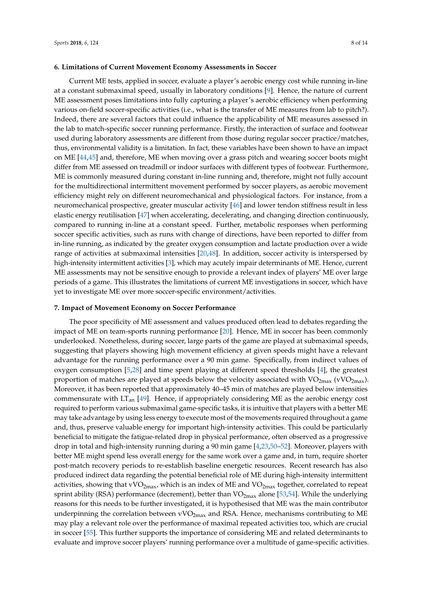#### **6. Limitations of Current Movement Economy Assessments in Soccer**

Current ME tests, applied in soccer, evaluate a player's aerobic energy cost while running in-line at a constant submaximal speed, usually in laboratory conditions [\[9\]](#page-13-8). Hence, the nature of current ME assessment poses limitations into fully capturing a player's aerobic efficiency when performing various on-field soccer-specific activities (i.e., what is the transfer of ME measures from lab to pitch?). Indeed, there are several factors that could influence the applicability of ME measures assessed in the lab to match-specific soccer running performance. Firstly, the interaction of surface and footwear used during laboratory assessments are different from those during regular soccer practice/matches, thus, environmental validity is a limitation. In fact, these variables have been shown to have an impact on ME [\[44](#page-15-13)[,45\]](#page-15-14) and, therefore, ME when moving over a grass pitch and wearing soccer boots might differ from ME assessed on treadmill or indoor surfaces with different types of footwear. Furthermore, ME is commonly measured during constant in-line running and, therefore, might not fully account for the multidirectional intermittent movement performed by soccer players, as aerobic movement efficiency might rely on different neuromechanical and physiological factors. For instance, from a neuromechanical prospective, greater muscular activity [\[46\]](#page-15-15) and lower tendon stiffness result in less elastic energy reutilisation [\[47\]](#page-15-16) when accelerating, decelerating, and changing direction continuously, compared to running in-line at a constant speed. Further, metabolic responses when performing soccer specific activities, such as runs with change of directions, have been reported to differ from in-line running, as indicated by the greater oxygen consumption and lactate production over a wide range of activities at submaximal intensities [\[20,](#page-14-5)[48\]](#page-15-17). In addition, soccer activity is interspersed by high-intensity intermittent activities [\[3\]](#page-13-1), which may acutely impair determinants of ME. Hence, current ME assessments may not be sensitive enough to provide a relevant index of players' ME over large periods of a game. This illustrates the limitations of current ME investigations in soccer, which have yet to investigate ME over more soccer-specific environment/activities.

#### **7. Impact of Movement Economy on Soccer Performance**

The poor specificity of ME assessment and values produced often lead to debates regarding the impact of ME on team-sports running performance [\[20\]](#page-14-5). Hence, ME in soccer has been commonly underlooked. Nonetheless, during soccer, large parts of the game are played at submaximal speeds, suggesting that players showing high movement efficiency at given speeds might have a relevant advantage for the running performance over a 90 min game. Specifically, from indirect values of oxygen consumption [\[5,](#page-13-4)[28\]](#page-14-29) and time spent playing at different speed thresholds [\[4\]](#page-13-2), the greatest proportion of matches are played at speeds below the velocity associated with  $VO_{2max}$  (vVO<sub>2max</sub>). Moreover, it has been reported that approximately 40–45 min of matches are played below intensities commensurate with  $LT_{an}$  [\[49\]](#page-15-18). Hence, if appropriately considering ME as the aerobic energy cost required to perform various submaximal game-specific tasks, it is intuitive that players with a better ME may take advantage by using less energy to execute most of the movements required throughout a game and, thus, preserve valuable energy for important high-intensity activities. This could be particularly beneficial to mitigate the fatigue-related drop in physical performance, often observed as a progressive drop in total and high-intensity running during a 90 min game [\[4,](#page-13-2)[23,](#page-14-8)[50](#page-15-19)[–52\]](#page-15-20). Moreover, players with better ME might spend less overall energy for the same work over a game and, in turn, require shorter post-match recovery periods to re-establish baseline energetic resources. Recent research has also produced indirect data regarding the potential beneficial role of ME during high-intensity intermittent activities, showing that vVO<sub>2max</sub>, which is an index of ME and VO<sub>2max</sub> together, correlated to repeat sprint ability (RSA) performance (decrement), better than  $VO_{2max}$  alone [\[53,](#page-15-21)[54\]](#page-15-22). While the underlying reasons for this needs to be further investigated, it is hypothesised that ME was the main contributor underpinning the correlation between  $vVO<sub>2max</sub>$  and RSA. Hence, mechanisms contributing to ME may play a relevant role over the performance of maximal repeated activities too, which are crucial in soccer [\[55\]](#page-15-23). This further supports the importance of considering ME and related determinants to evaluate and improve soccer players' running performance over a multitude of game-specific activities.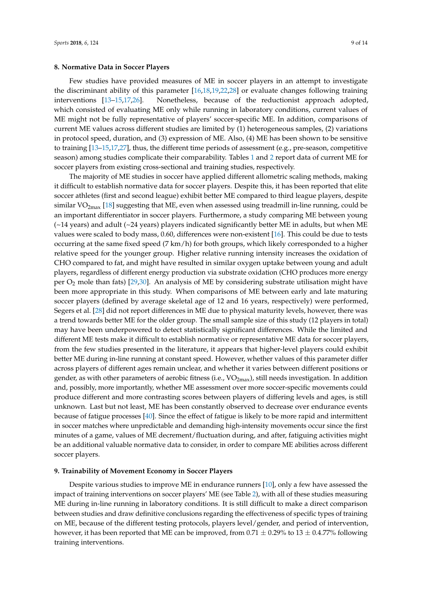Few studies have provided measures of ME in soccer players in an attempt to investigate the discriminant ability of this parameter [\[16,](#page-14-16)[18,](#page-14-17)[19,](#page-14-3)[22,](#page-14-7)[28\]](#page-14-29) or evaluate changes following training interventions [\[13](#page-14-2)[–15,](#page-14-19)[17,](#page-14-30)[26\]](#page-14-11). Nonetheless, because of the reductionist approach adopted, which consisted of evaluating ME only while running in laboratory conditions, current values of ME might not be fully representative of players' soccer-specific ME. In addition, comparisons of current ME values across different studies are limited by (1) heterogeneous samples, (2) variations in protocol speed, duration, and (3) expression of ME. Also, (4) ME has been shown to be sensitive to training [\[13–](#page-14-2)[15](#page-14-19)[,17](#page-14-30)[,27\]](#page-14-12), thus, the different time periods of assessment (e.g., pre-season, competitive season) among studies complicate their comparability. Tables [1](#page-7-0) and [2](#page-9-0) report data of current ME for soccer players from existing cross-sectional and training studies, respectively.

The majority of ME studies in soccer have applied different allometric scaling methods, making it difficult to establish normative data for soccer players. Despite this, it has been reported that elite soccer athletes (first and second league) exhibit better ME compared to third league players, despite similar  $VO_{2max}$  [\[18\]](#page-14-17) suggesting that ME, even when assessed using treadmill in-line running, could be an important differentiator in soccer players. Furthermore, a study comparing ME between young  $(\sim)$ 14 years) and adult ( $\sim$ 24 years) players indicated significantly better ME in adults, but when ME values were scaled to body mass, 0.60, differences were non-existent [\[16\]](#page-14-16). This could be due to tests occurring at the same fixed speed (7 km/h) for both groups, which likely corresponded to a higher relative speed for the younger group. Higher relative running intensity increases the oxidation of CHO compared to fat, and might have resulted in similar oxygen uptake between young and adult players, regardless of different energy production via substrate oxidation (CHO produces more energy per O<sup>2</sup> mole than fats) [\[29,](#page-14-13)[30\]](#page-14-14). An analysis of ME by considering substrate utilisation might have been more appropriate in this study. When comparisons of ME between early and late maturing soccer players (defined by average skeletal age of 12 and 16 years, respectively) were performed, Segers et al. [\[28\]](#page-14-29) did not report differences in ME due to physical maturity levels, however, there was a trend towards better ME for the older group. The small sample size of this study (12 players in total) may have been underpowered to detect statistically significant differences. While the limited and different ME tests make it difficult to establish normative or representative ME data for soccer players, from the few studies presented in the literature, it appears that higher-level players could exhibit better ME during in-line running at constant speed. However, whether values of this parameter differ across players of different ages remain unclear, and whether it varies between different positions or gender, as with other parameters of aerobic fitness (i.e.,  $VO_{2max}$ ), still needs investigation. In addition and, possibly, more importantly, whether ME assessment over more soccer-specific movements could produce different and more contrasting scores between players of differing levels and ages, is still unknown. Last but not least, ME has been constantly observed to decrease over endurance events because of fatigue processes [\[40\]](#page-15-24). Since the effect of fatigue is likely to be more rapid and intermittent in soccer matches where unpredictable and demanding high-intensity movements occur since the first minutes of a game, values of ME decrement/fluctuation during, and after, fatiguing activities might be an additional valuable normative data to consider, in order to compare ME abilities across different soccer players.

#### **9. Trainability of Movement Economy in Soccer Players**

Despite various studies to improve ME in endurance runners [\[10\]](#page-13-9), only a few have assessed the impact of training interventions on soccer players' ME (see Table [2\)](#page-9-0), with all of these studies measuring ME during in-line running in laboratory conditions. It is still difficult to make a direct comparison between studies and draw definitive conclusions regarding the effectiveness of specific types of training on ME, because of the different testing protocols, players level/gender, and period of intervention, however, it has been reported that ME can be improved, from  $0.71 \pm 0.29\%$  to  $13 \pm 0.4.77\%$  following training interventions.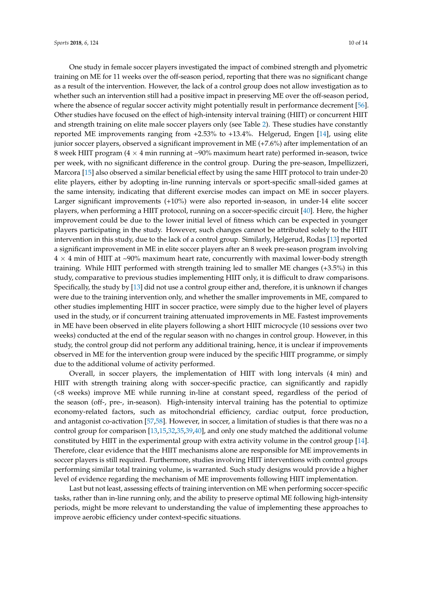One study in female soccer players investigated the impact of combined strength and plyometric training on ME for 11 weeks over the off-season period, reporting that there was no significant change as a result of the intervention. However, the lack of a control group does not allow investigation as to whether such an intervention still had a positive impact in preserving ME over the off-season period, where the absence of regular soccer activity might potentially result in performance decrement [\[56\]](#page-15-25). Other studies have focused on the effect of high-intensity interval training (HIIT) or concurrent HIIT and strength training on elite male soccer players only (see Table [2\)](#page-9-0). These studies have constantly reported ME improvements ranging from +2.53% to +13.4%. Helgerud, Engen [\[14\]](#page-14-4), using elite junior soccer players, observed a significant improvement in ME (+7.6%) after implementation of an 8 week HIIT program ( $4 \times 4$  min running at ~90% maximum heart rate) performed in-season, twice per week, with no significant difference in the control group. During the pre-season, Impellizzeri, Marcora [\[15\]](#page-14-19) also observed a similar beneficial effect by using the same HIIT protocol to train under-20 elite players, either by adopting in-line running intervals or sport-specific small-sided games at the same intensity, indicating that different exercise modes can impact on ME in soccer players. Larger significant improvements (+10%) were also reported in-season, in under-14 elite soccer players, when performing a HIIT protocol, running on a soccer-specific circuit [\[40\]](#page-15-24). Here, the higher improvement could be due to the lower initial level of fitness which can be expected in younger players participating in the study. However, such changes cannot be attributed solely to the HIIT intervention in this study, due to the lack of a control group. Similarly, Helgerud, Rodas [\[13\]](#page-14-2) reported a significant improvement in ME in elite soccer players after an 8 week pre-season program involving  $4 \times 4$  min of HIIT at ~90% maximum heart rate, concurrently with maximal lower-body strength training. While HIIT performed with strength training led to smaller ME changes (+3.5%) in this study, comparative to previous studies implementing HIIT only, it is difficult to draw comparisons. Specifically, the study by [\[13\]](#page-14-2) did not use a control group either and, therefore, it is unknown if changes were due to the training intervention only, and whether the smaller improvements in ME, compared to other studies implementing HIIT in soccer practice, were simply due to the higher level of players used in the study, or if concurrent training attenuated improvements in ME. Fastest improvements in ME have been observed in elite players following a short HIIT microcycle (10 sessions over two weeks) conducted at the end of the regular season with no changes in control group. However, in this study, the control group did not perform any additional training, hence, it is unclear if improvements observed in ME for the intervention group were induced by the specific HIIT programme, or simply due to the additional volume of activity performed.

Overall, in soccer players, the implementation of HIIT with long intervals (4 min) and HIIT with strength training along with soccer-specific practice, can significantly and rapidly (<8 weeks) improve ME while running in-line at constant speed, regardless of the period of the season (off-, pre-, in-season). High-intensity interval training has the potential to optimize economy-related factors, such as mitochondrial efficiency, cardiac output, force production, and antagonist co-activation [\[57](#page-16-0)[,58\]](#page-16-1). However, in soccer, a limitation of studies is that there was no a control group for comparison [\[13,](#page-14-2)[15,](#page-14-19)[32,](#page-14-18)[35,](#page-15-0)[39](#page-15-4)[,40\]](#page-15-24), and only one study matched the additional volume constituted by HIIT in the experimental group with extra activity volume in the control group [\[14\]](#page-14-4). Therefore, clear evidence that the HIIT mechanisms alone are responsible for ME improvements in soccer players is still required. Furthermore, studies involving HIIT interventions with control groups performing similar total training volume, is warranted. Such study designs would provide a higher level of evidence regarding the mechanism of ME improvements following HIIT implementation.

Last but not least, assessing effects of training intervention on ME when performing soccer-specific tasks, rather than in-line running only, and the ability to preserve optimal ME following high-intensity periods, might be more relevant to understanding the value of implementing these approaches to improve aerobic efficiency under context-specific situations.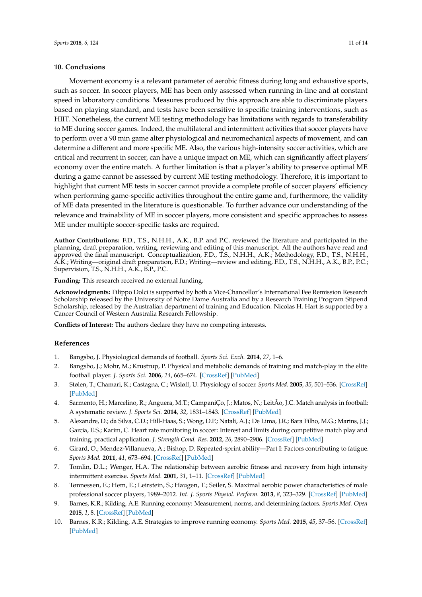#### **10. Conclusions**

Movement economy is a relevant parameter of aerobic fitness during long and exhaustive sports, such as soccer. In soccer players, ME has been only assessed when running in-line and at constant speed in laboratory conditions. Measures produced by this approach are able to discriminate players based on playing standard, and tests have been sensitive to specific training interventions, such as HIIT. Nonetheless, the current ME testing methodology has limitations with regards to transferability to ME during soccer games. Indeed, the multilateral and intermittent activities that soccer players have to perform over a 90 min game alter physiological and neuromechanical aspects of movement, and can determine a different and more specific ME. Also, the various high-intensity soccer activities, which are critical and recurrent in soccer, can have a unique impact on ME, which can significantly affect players' economy over the entire match. A further limitation is that a player's ability to preserve optimal ME during a game cannot be assessed by current ME testing methodology. Therefore, it is important to highlight that current ME tests in soccer cannot provide a complete profile of soccer players' efficiency when performing game-specific activities throughout the entire game and, furthermore, the validity of ME data presented in the literature is questionable. To further advance our understanding of the relevance and trainability of ME in soccer players, more consistent and specific approaches to assess ME under multiple soccer-specific tasks are required.

**Author Contributions:** F.D., T.S., N.H.H., A.K., B.P. and P.C. reviewed the literature and participated in the planning, draft preparation, writing, reviewing and editing of this manuscript. All the authors have read and approved the final manuscript. Conceptualization, F.D., T.S., N.H.H., A.K.; Methodology, F.D., T.S., N.H.H., A.K.; Writing—original draft preparation, F.D.; Writing—review and editing, F.D., T.S., N.H.H., A.K., B.P., P.C.; Supervision, T.S., N.H.H., A.K., B.P., P.C.

**Funding:** This research received no external funding.

**Acknowledgments:** Filippo Dolci is supported by both a Vice-Chancellor's International Fee Remission Research Scholarship released by the University of Notre Dame Australia and by a Research Training Program Stipend Scholarship, released by the Australian department of training and Education. Nicolas H. Hart is supported by a Cancer Council of Western Australia Research Fellowship.

**Conflicts of Interest:** The authors declare they have no competing interests.

#### **References**

- <span id="page-13-0"></span>1. Bangsbo, J. Physiological demands of football. *Sports Sci. Exch.* **2014**, *27*, 1–6.
- <span id="page-13-3"></span>2. Bangsbo, J.; Mohr, M.; Krustrup, P. Physical and metabolic demands of training and match-play in the elite football player. *J. Sports Sci.* **2006**, *24*, 665–674. [\[CrossRef\]](http://dx.doi.org/10.1080/02640410500482529) [\[PubMed\]](http://www.ncbi.nlm.nih.gov/pubmed/16766496)
- <span id="page-13-1"></span>3. Stølen, T.; Chamari, K.; Castagna, C.; Wisløff, U. Physiology of soccer. *Sports Med.* **2005**, *35*, 501–536. [\[CrossRef\]](http://dx.doi.org/10.2165/00007256-200535060-00004) [\[PubMed\]](http://www.ncbi.nlm.nih.gov/pubmed/15974635)
- <span id="page-13-2"></span>4. Sarmento, H.; Marcelino, R.; Anguera, M.T.; CampaniÇo, J.; Matos, N.; LeitÃo, J.C. Match analysis in football: A systematic review. *J. Sports Sci.* **2014**, *32*, 1831–1843. [\[CrossRef\]](http://dx.doi.org/10.1080/02640414.2014.898852) [\[PubMed\]](http://www.ncbi.nlm.nih.gov/pubmed/24787442)
- <span id="page-13-4"></span>5. Alexandre, D.; da Silva, C.D.; Hill-Haas, S.; Wong, D.P.; Natali, A.J.; De Lima, J.R.; Bara Filho, M.G.; Marins, J.J.; Garcia, E.S.; Karim, C. Heart rate monitoring in soccer: Interest and limits during competitive match play and training, practical application. *J. Strength Cond. Res.* **2012**, *26*, 2890–2906. [\[CrossRef\]](http://dx.doi.org/10.1519/JSC.0b013e3182429ac7) [\[PubMed\]](http://www.ncbi.nlm.nih.gov/pubmed/22130401)
- <span id="page-13-5"></span>6. Girard, O.; Mendez-Villanueva, A.; Bishop, D. Repeated-sprint ability—Part I: Factors contributing to fatigue. *Sports Med.* **2011**, *41*, 673–694. [\[CrossRef\]](http://dx.doi.org/10.2165/11590550-000000000-00000) [\[PubMed\]](http://www.ncbi.nlm.nih.gov/pubmed/21780851)
- <span id="page-13-6"></span>7. Tomlin, D.L.; Wenger, H.A. The relationship between aerobic fitness and recovery from high intensity intermittent exercise. *Sports Med.* **2001**, *31*, 1–11. [\[CrossRef\]](http://dx.doi.org/10.2165/00007256-200131010-00001) [\[PubMed\]](http://www.ncbi.nlm.nih.gov/pubmed/11219498)
- <span id="page-13-7"></span>8. Tønnessen, E.; Hem, E.; Leirstein, S.; Haugen, T.; Seiler, S. Maximal aerobic power characteristics of male professional soccer players, 1989–2012. *Int. J. Sports Physiol. Perform.* **2013**, *8*, 323–329. [\[CrossRef\]](http://dx.doi.org/10.1123/ijspp.8.3.323) [\[PubMed\]](http://www.ncbi.nlm.nih.gov/pubmed/23118070)
- <span id="page-13-8"></span>9. Barnes, K.R.; Kilding, A.E. Running economy: Measurement, norms, and determining factors. *Sports Med. Open* **2015**, *1*, 8. [\[CrossRef\]](http://dx.doi.org/10.1186/s40798-015-0007-y) [\[PubMed\]](http://www.ncbi.nlm.nih.gov/pubmed/27747844)
- <span id="page-13-9"></span>10. Barnes, K.R.; Kilding, A.E. Strategies to improve running economy. *Sports Med.* **2015**, *45*, 37–56. [\[CrossRef\]](http://dx.doi.org/10.1007/s40279-014-0246-y) [\[PubMed\]](http://www.ncbi.nlm.nih.gov/pubmed/25164465)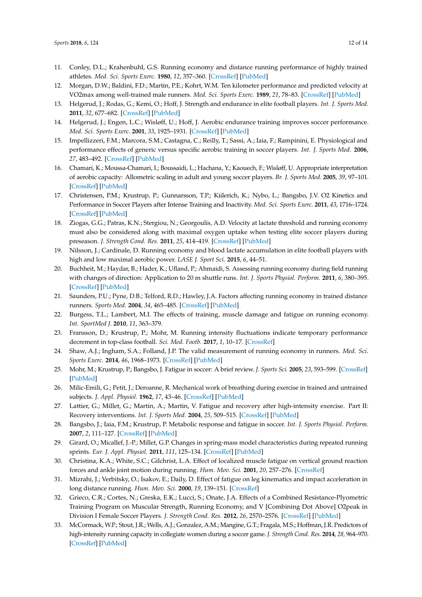- <span id="page-14-27"></span><span id="page-14-26"></span><span id="page-14-25"></span><span id="page-14-24"></span><span id="page-14-23"></span><span id="page-14-22"></span><span id="page-14-21"></span><span id="page-14-0"></span>11. Conley, D.L.; Krahenbuhl, G.S. Running economy and distance running performance of highly trained athletes. *Med. Sci. Sports Exerc.* **1980**, *12*, 357–360. [\[CrossRef\]](http://dx.doi.org/10.1249/00005768-198025000-00010) [\[PubMed\]](http://www.ncbi.nlm.nih.gov/pubmed/7453514)
- <span id="page-14-1"></span>12. Morgan, D.W.; Baldini, F.D.; Martin, P.E.; Kohrt, W.M. Ten kilometer performance and predicted velocity at VO2max among well-trained male runners. *Med. Sci. Sports Exerc.* **1989**, *21*, 78–83. [\[CrossRef\]](http://dx.doi.org/10.1249/00005768-198902000-00014) [\[PubMed\]](http://www.ncbi.nlm.nih.gov/pubmed/2927305)
- <span id="page-14-2"></span>13. Helgerud, J.; Rodas, G.; Kemi, O.; Hoff, J. Strength and endurance in elite football players. *Int. J. Sports Med.* **2011**, *32*, 677–682. [\[CrossRef\]](http://dx.doi.org/10.1055/s-0031-1275742) [\[PubMed\]](http://www.ncbi.nlm.nih.gov/pubmed/21563031)
- <span id="page-14-4"></span>14. Helgerud, J.; Engen, L.C.; Wisløff, U.; Hoff, J. Aerobic endurance training improves soccer performance. *Med. Sci. Sports Exerc.* **2001**, *33*, 1925–1931. [\[CrossRef\]](http://dx.doi.org/10.1097/00005768-200111000-00019) [\[PubMed\]](http://www.ncbi.nlm.nih.gov/pubmed/11689745)
- <span id="page-14-19"></span>15. Impellizzeri, F.M.; Marcora, S.M.; Castagna, C.; Reilly, T.; Sassi, A.; Iaia, F.; Rampinini, E. Physiological and performance effects of generic versus specific aerobic training in soccer players. *Int. J. Sports Med.* **2006**, *27*, 483–492. [\[CrossRef\]](http://dx.doi.org/10.1055/s-2005-865839) [\[PubMed\]](http://www.ncbi.nlm.nih.gov/pubmed/16767613)
- <span id="page-14-16"></span>16. Chamari, K.; Moussa-Chamari, I.; Boussaidi, L.; Hachana, Y.; Kaouech, F.; Wisløff, U. Appropriate interpretation of aerobic capacity: Allometric scaling in adult and young soccer players. *Br. J. Sports Med.* **2005**, *39*, 97–101. [\[CrossRef\]](http://dx.doi.org/10.1136/bjsm.2003.010215) [\[PubMed\]](http://www.ncbi.nlm.nih.gov/pubmed/15665205)
- <span id="page-14-30"></span>17. Christensen, P.M.; Krustrup, P.; Gunnarsson, T.P.; Kiilerich, K.; Nybo, L.; Bangsbo, J.V. O2 Kinetics and Performance in Soccer Players after Intense Training and Inactivity. *Med. Sci. Sports Exerc.* **2011**, *43*, 1716–1724. [\[CrossRef\]](http://dx.doi.org/10.1249/MSS.0b013e318211c01a) [\[PubMed\]](http://www.ncbi.nlm.nih.gov/pubmed/21311360)
- <span id="page-14-17"></span>18. Ziogas, G.G.; Patras, K.N.; Stergiou, N.; Georgoulis, A.D. Velocity at lactate threshold and running economy must also be considered along with maximal oxygen uptake when testing elite soccer players during preseason. *J. Strength Cond. Res.* **2011**, *25*, 414–419. [\[CrossRef\]](http://dx.doi.org/10.1519/JSC.0b013e3181bac3b9) [\[PubMed\]](http://www.ncbi.nlm.nih.gov/pubmed/20351577)
- <span id="page-14-3"></span>19. Nilsson, J.; Cardinale, D. Running economy and blood lactate accumulation in elite football players with high and low maximal aerobic power. *LASE J. Sport Sci.* **2015**, *6*, 44–51.
- <span id="page-14-5"></span>20. Buchheit, M.; Haydar, B.; Hader, K.; Ufland, P.; Ahmaidi, S. Assessing running economy during field running with changes of direction: Application to 20 m shuttle runs. *Int. J. Sports Physiol. Perform.* **2011**, *6*, 380–395. [\[CrossRef\]](http://dx.doi.org/10.1123/ijspp.6.3.380) [\[PubMed\]](http://www.ncbi.nlm.nih.gov/pubmed/21911863)
- <span id="page-14-6"></span>21. Saunders, P.U.; Pyne, D.B.; Telford, R.D.; Hawley, J.A. Factors affecting running economy in trained distance runners. *Sports Med.* **2004**, *34*, 465–485. [\[CrossRef\]](http://dx.doi.org/10.2165/00007256-200434070-00005) [\[PubMed\]](http://www.ncbi.nlm.nih.gov/pubmed/15233599)
- <span id="page-14-28"></span><span id="page-14-7"></span>22. Burgess, T.L.; Lambert, M.I. The effects of training, muscle damage and fatigue on running economy. *Int. SportMed J.* **2010**, *11*, 363–379.
- <span id="page-14-8"></span>23. Fransson, D.; Krustrup, P.; Mohr, M. Running intensity fluctuations indicate temporary performance decrement in top-class football. *Sci. Med. Footb.* **2017**, *1*, 10–17. [\[CrossRef\]](http://dx.doi.org/10.1080/02640414.2016.1254808)
- <span id="page-14-9"></span>24. Shaw, A.J.; Ingham, S.A.; Folland, J.P. The valid measurement of running economy in runners. *Med. Sci. Sports Exerc.* **2014**, *46*, 1968–1973. [\[CrossRef\]](http://dx.doi.org/10.1249/MSS.0000000000000311) [\[PubMed\]](http://www.ncbi.nlm.nih.gov/pubmed/24561819)
- <span id="page-14-10"></span>25. Mohr, M.; Krustrup, P.; Bangsbo, J. Fatigue in soccer: A brief review. *J. Sports Sci.* **2005**, *23*, 593–599. [\[CrossRef\]](http://dx.doi.org/10.1080/02640410400021286) [\[PubMed\]](http://www.ncbi.nlm.nih.gov/pubmed/16195008)
- <span id="page-14-11"></span>26. Milic-Emili, G.; Petit, J.; Deroanne, R. Mechanical work of breathing during exercise in trained and untrained subjects. *J. Appl. Physiol.* **1962**, *17*, 43–46. [\[CrossRef\]](http://dx.doi.org/10.1152/jappl.1962.17.1.43) [\[PubMed\]](http://www.ncbi.nlm.nih.gov/pubmed/14473890)
- <span id="page-14-12"></span>27. Lattier, G.; Millet, G.; Martin, A.; Martin, V. Fatigue and recovery after high-intensity exercise. Part II: Recovery interventions. *Int. J. Sports Med.* **2004**, *25*, 509–515. [\[CrossRef\]](http://dx.doi.org/10.1055/s-2004-820946) [\[PubMed\]](http://www.ncbi.nlm.nih.gov/pubmed/15459831)
- <span id="page-14-29"></span>28. Bangsbo, J.; Iaia, F.M.; Krustrup, P. Metabolic response and fatigue in soccer. *Int. J. Sports Physiol. Perform.* **2007**, *2*, 111–127. [\[CrossRef\]](http://dx.doi.org/10.1123/ijspp.2.2.111) [\[PubMed\]](http://www.ncbi.nlm.nih.gov/pubmed/19124899)
- <span id="page-14-13"></span>29. Girard, O.; Micallef, J.-P.; Millet, G.P. Changes in spring-mass model characteristics during repeated running sprints. *Eur. J. Appl. Physiol.* **2011**, *111*, 125–134. [\[CrossRef\]](http://dx.doi.org/10.1007/s00421-010-1638-9) [\[PubMed\]](http://www.ncbi.nlm.nih.gov/pubmed/20824280)
- <span id="page-14-14"></span>30. Christina, K.A.; White, S.C.; Gilchrist, L.A. Effect of localized muscle fatigue on vertical ground reaction forces and ankle joint motion during running. *Hum. Mov. Sci.* **2001**, *20*, 257–276. [\[CrossRef\]](http://dx.doi.org/10.1016/S0167-9457(01)00048-3)
- <span id="page-14-15"></span>31. Mizrahi, J.; Verbitsky, O.; Isakov, E.; Daily, D. Effect of fatigue on leg kinematics and impact acceleration in long distance running. *Hum. Mov. Sci.* **2000**, *19*, 139–151. [\[CrossRef\]](http://dx.doi.org/10.1016/S0167-9457(00)00013-0)
- <span id="page-14-18"></span>32. Grieco, C.R.; Cortes, N.; Greska, E.K.; Lucci, S.; Onate, J.A. Effects of a Combined Resistance-Plyometric Training Program on Muscular Strength, Running Economy, and V [Combining Dot Above] O2peak in Division I Female Soccer Players. *J. Strength Cond. Res.* **2012**, *26*, 2570–2576. [\[CrossRef\]](http://dx.doi.org/10.1519/JSC.0b013e31823db1cf) [\[PubMed\]](http://www.ncbi.nlm.nih.gov/pubmed/22105047)
- <span id="page-14-20"></span>33. McCormack, W.P.; Stout, J.R.; Wells, A.J.; Gonzalez, A.M.; Mangine, G.T.; Fragala, M.S.; Hoffman, J.R. Predictors of high-intensity running capacity in collegiate women during a soccer game. *J. Strength Cond. Res.* **2014**, *28*, 964–970. [\[CrossRef\]](http://dx.doi.org/10.1519/JSC.0000000000000359) [\[PubMed\]](http://www.ncbi.nlm.nih.gov/pubmed/24378664)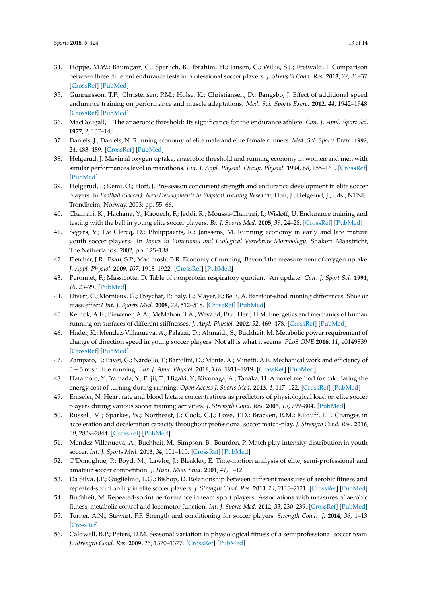- <span id="page-15-12"></span><span id="page-15-11"></span><span id="page-15-10"></span><span id="page-15-9"></span><span id="page-15-8"></span>34. Hoppe, M.W.; Baumgart, C.; Sperlich, B.; Ibrahim, H.; Jansen, C.; Willis, S.J.; Freiwald, J. Comparison between three different endurance tests in professional soccer players. *J. Strength Cond. Res.* **2013**, *27*, 31–37. [\[CrossRef\]](http://dx.doi.org/10.1519/JSC.0b013e31824e1711) [\[PubMed\]](http://www.ncbi.nlm.nih.gov/pubmed/22344049)
- <span id="page-15-0"></span>35. Gunnarsson, T.P.; Christensen, P.M.; Holse, K.; Christiansen, D.; Bangsbo, J. Effect of additional speed endurance training on performance and muscle adaptations. *Med. Sci. Sports Exerc.* **2012**, *44*, 1942–1948. [\[CrossRef\]](http://dx.doi.org/10.1249/MSS.0b013e31825ca446) [\[PubMed\]](http://www.ncbi.nlm.nih.gov/pubmed/22617392)
- <span id="page-15-1"></span>36. MacDougall, J. The anaerobic threshold: Its significance for the endurance athlete. *Can. J. Appl. Sport Sci.* **1977**, *2*, 137–140.
- <span id="page-15-2"></span>37. Daniels, J.; Daniels, N. Running economy of elite male and elite female runners. *Med. Sci. Sports Exerc.* **1992**, *24*, 483–489. [\[CrossRef\]](http://dx.doi.org/10.1249/00005768-199204000-00015) [\[PubMed\]](http://www.ncbi.nlm.nih.gov/pubmed/1560747)
- <span id="page-15-3"></span>38. Helgerud, J. Maximal oxygen uptake, anaerobic threshold and running economy in women and men with similar performances level in marathons. *Eur. J. Appl. Physiol. Occup. Physiol.* **1994**, *68*, 155–161. [\[CrossRef\]](http://dx.doi.org/10.1007/BF00244029) [\[PubMed\]](http://www.ncbi.nlm.nih.gov/pubmed/8194545)
- <span id="page-15-4"></span>39. Helgerud, J.; Kemi, O.; Hoff, J. Pre-season concurrent strength and endurance development in elite soccer players. In *Football (Soccer): New Developments in Physical Training Research*; Hoff, J., Helgerud, J., Eds.; NTNU: Trondheim, Norway, 2003; pp. 55–66.
- <span id="page-15-24"></span>40. Chamari, K.; Hachana, Y.; Kaouech, F.; Jeddi, R.; Moussa-Chamari, I.; Wisløff, U. Endurance training and testing with the ball in young elite soccer players. *Br. J. Sports Med.* **2005**, *39*, 24–28. [\[CrossRef\]](http://dx.doi.org/10.1136/bjsm.2003.009985) [\[PubMed\]](http://www.ncbi.nlm.nih.gov/pubmed/15618335)
- <span id="page-15-5"></span>41. Segers, V.; De Clercq, D.; Philippaerts, R.; Janssens, M. Running economy in early and late mature youth soccer players. In *Topics in Functional and Ecological Vertebrate Morphology*; Shaker: Maastricht, The Netherlands, 2002; pp. 125–138.
- <span id="page-15-6"></span>42. Fletcher, J.R.; Esau, S.P.; Macintosh, B.R. Economy of running: Beyond the measurement of oxygen uptake. *J. Appl. Physiol.* **2009**, *107*, 1918–1922. [\[CrossRef\]](http://dx.doi.org/10.1152/japplphysiol.00307.2009) [\[PubMed\]](http://www.ncbi.nlm.nih.gov/pubmed/19833811)
- <span id="page-15-7"></span>43. Peronnet, F.; Massicotte, D. Table of nonprotein respiratory quotient: An update. *Can. J. Sport Sci.* **1991**, *16*, 23–29. [\[PubMed\]](http://www.ncbi.nlm.nih.gov/pubmed/1645211)
- <span id="page-15-13"></span>44. Divert, C.; Mornieux, G.; Freychat, P.; Baly, L.; Mayer, F.; Belli, A. Barefoot-shod running differences: Shoe or mass effect? *Int. J. Sports Med.* **2008**, *29*, 512–518. [\[CrossRef\]](http://dx.doi.org/10.1055/s-2007-989233) [\[PubMed\]](http://www.ncbi.nlm.nih.gov/pubmed/18027308)
- <span id="page-15-14"></span>45. Kerdok, A.E.; Biewener, A.A.; McMahon, T.A.; Weyand, P.G.; Herr, H.M. Energetics and mechanics of human running on surfaces of different stiffnesses. *J. Appl. Physiol.* **2002**, *92*, 469–478. [\[CrossRef\]](http://dx.doi.org/10.1152/japplphysiol.01164.2000) [\[PubMed\]](http://www.ncbi.nlm.nih.gov/pubmed/11796653)
- <span id="page-15-15"></span>46. Hader, K.; Mendez-Villanueva, A.; Palazzi, D.; Ahmaidi, S.; Buchheit, M. Metabolic power requirement of change of direction speed in young soccer players: Not all is what it seems. *PLoS ONE* **2016**, *11*, e0149839. [\[CrossRef\]](http://dx.doi.org/10.1371/journal.pone.0149839) [\[PubMed\]](http://www.ncbi.nlm.nih.gov/pubmed/26930649)
- <span id="page-15-16"></span>47. Zamparo, P.; Pavei, G.; Nardello, F.; Bartolini, D.; Monte, A.; Minetti, A.E. Mechanical work and efficiency of 5 + 5 m shuttle running. *Eur. J. Appl. Physiol.* **2016**, *116*, 1911–1919. [\[CrossRef\]](http://dx.doi.org/10.1007/s00421-016-3443-6) [\[PubMed\]](http://www.ncbi.nlm.nih.gov/pubmed/27473448)
- <span id="page-15-17"></span>48. Hatamoto, Y.; Yamada, Y.; Fujii, T.; Higaki, Y.; Kiyonaga, A.; Tanaka, H. A novel method for calculating the energy cost of turning during running. *Open Access J. Sports Med.* **2013**, *4*, 117–122. [\[CrossRef\]](http://dx.doi.org/10.2147/OAJSM.S39206) [\[PubMed\]](http://www.ncbi.nlm.nih.gov/pubmed/24379716)
- <span id="page-15-18"></span>49. Eniseler, N. Heart rate and blood lactate concentrations as predictors of physiological load on elite soccer players during various soccer training activities. *J. Strength Cond. Res.* **2005**, *19*, 799–804. [\[PubMed\]](http://www.ncbi.nlm.nih.gov/pubmed/16287347)
- <span id="page-15-19"></span>50. Russell, M.; Sparkes, W.; Northeast, J.; Cook, C.J.; Love, T.D.; Bracken, R.M.; Kilduff, L.P. Changes in acceleration and deceleration capacity throughout professional soccer match-play. *J. Strength Cond. Res.* **2016**, *30*, 2839–2844. [\[CrossRef\]](http://dx.doi.org/10.1519/JSC.0000000000000805) [\[PubMed\]](http://www.ncbi.nlm.nih.gov/pubmed/25474342)
- 51. Mendez-Villanueva, A.; Buchheit, M.; Simpson, B.; Bourdon, P. Match play intensity distribution in youth soccer. *Int. J. Sports Med.* **2013**, *34*, 101–110. [\[CrossRef\]](http://dx.doi.org/10.1055/s-0032-1306323) [\[PubMed\]](http://www.ncbi.nlm.nih.gov/pubmed/22960988)
- <span id="page-15-20"></span>52. O'Donoghue, P.; Boyd, M.; Lawlor, J.; Bleakley, E. Time-motion analysis of elite, semi-professional and amateur soccer competition. *J. Hum. Mov. Stud.* **2001**, *41*, 1–12.
- <span id="page-15-21"></span>53. Da Silva, J.F.; Guglielmo, L.G.; Bishop, D. Relationship between different measures of aerobic fitness and repeated-sprint ability in elite soccer players. *J. Strength Cond. Res.* **2010**, *24*, 2115–2121. [\[CrossRef\]](http://dx.doi.org/10.1519/JSC.0b013e3181e34794) [\[PubMed\]](http://www.ncbi.nlm.nih.gov/pubmed/20613644)
- <span id="page-15-22"></span>54. Buchheit, M. Repeated-sprint performance in team sport players: Associations with measures of aerobic fitness, metabolic control and locomotor function. *Int. J. Sports Med.* **2012**, *33*, 230–239. [\[CrossRef\]](http://dx.doi.org/10.1055/s-0031-1291364) [\[PubMed\]](http://www.ncbi.nlm.nih.gov/pubmed/22290323)
- <span id="page-15-23"></span>55. Turner, A.N.; Stewart, P.F. Strength and conditioning for soccer players. *Strength Cond. J.* **2014**, *36*, 1–13. [\[CrossRef\]](http://dx.doi.org/10.1519/SSC.0000000000000054)
- <span id="page-15-25"></span>56. Caldwell, B.P.; Peters, D.M. Seasonal variation in physiological fitness of a semiprofessional soccer team. *J. Strength Cond. Res.* **2009**, *23*, 1370–1377. [\[CrossRef\]](http://dx.doi.org/10.1519/JSC.0b013e3181a4e82f) [\[PubMed\]](http://www.ncbi.nlm.nih.gov/pubmed/19620929)